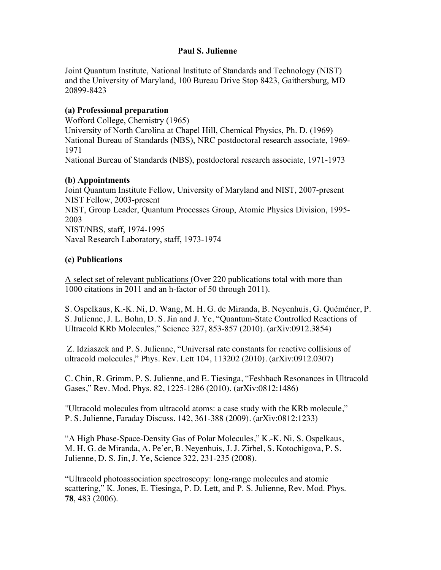### **Paul S. Julienne**

Joint Quantum Institute, National Institute of Standards and Technology (NIST) and the University of Maryland, 100 Bureau Drive Stop 8423, Gaithersburg, MD 20899-8423

### **(a) Professional preparation**

Wofford College, Chemistry (1965) University of North Carolina at Chapel Hill, Chemical Physics, Ph. D. (1969) National Bureau of Standards (NBS), NRC postdoctoral research associate, 1969- 1971 National Bureau of Standards (NBS), postdoctoral research associate, 1971-1973

### **(b) Appointments**

Joint Quantum Institute Fellow, University of Maryland and NIST, 2007-present NIST Fellow, 2003-present NIST, Group Leader, Quantum Processes Group, Atomic Physics Division, 1995- 2003 NIST/NBS, staff, 1974-1995 Naval Research Laboratory, staff, 1973-1974

# **(c) Publications**

A select set of relevant publications (Over 220 publications total with more than 1000 citations in 2011 and an h-factor of 50 through 2011).

S. Ospelkaus, K.-K. Ni, D. Wang, M. H. G. de Miranda, B. Neyenhuis, G. Quéméner, P. S. Julienne, J. L. Bohn, D. S. Jin and J. Ye, "Quantum-State Controlled Reactions of Ultracold KRb Molecules," Science 327, 853-857 (2010). (arXiv:0912.3854)

Z. Idziaszek and P. S. Julienne, "Universal rate constants for reactive collisions of ultracold molecules," Phys. Rev. Lett 104, 113202 (2010). (arXiv:0912.0307)

C. Chin, R. Grimm, P. S. Julienne, and E. Tiesinga, "Feshbach Resonances in Ultracold Gases," Rev. Mod. Phys. 82, 1225-1286 (2010). (arXiv:0812:1486)

"Ultracold molecules from ultracold atoms: a case study with the KRb molecule," P. S. Julienne, Faraday Discuss. 142, 361-388 (2009). (arXiv:0812:1233)

"A High Phase-Space-Density Gas of Polar Molecules," K.-K. Ni, S. Ospelkaus, M. H. G. de Miranda, A. Pe'er, B. Neyenhuis, J. J. Zirbel, S. Kotochigova, P. S. Julienne, D. S. Jin, J. Ye, Science 322, 231-235 (2008).

"Ultracold photoassociation spectroscopy: long-range molecules and atomic scattering," K. Jones, E. Tiesinga, P. D. Lett, and P. S. Julienne, Rev. Mod. Phys. **78**, 483 (2006).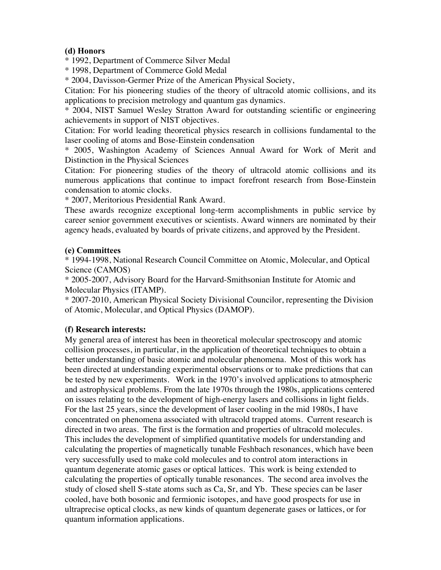# **(d) Honors**

\* 1992, Department of Commerce Silver Medal

\* 1998, Department of Commerce Gold Medal

\* 2004, Davisson-Germer Prize of the American Physical Society,

Citation: For his pioneering studies of the theory of ultracold atomic collisions, and its applications to precision metrology and quantum gas dynamics.

\* 2004, NIST Samuel Wesley Stratton Award for outstanding scientific or engineering achievements in support of NIST objectives.

Citation: For world leading theoretical physics research in collisions fundamental to the laser cooling of atoms and Bose-Einstein condensation

\* 2005, Washington Academy of Sciences Annual Award for Work of Merit and Distinction in the Physical Sciences

Citation: For pioneering studies of the theory of ultracold atomic collisions and its numerous applications that continue to impact forefront research from Bose-Einstein condensation to atomic clocks.

\* 2007, Meritorious Presidential Rank Award.

These awards recognize exceptional long-term accomplishments in public service by career senior government executives or scientists. Award winners are nominated by their agency heads, evaluated by boards of private citizens, and approved by the President.

### **(e) Committees**

\* 1994-1998, National Research Council Committee on Atomic, Molecular, and Optical Science (CAMOS)

\* 2005-2007, Advisory Board for the Harvard-Smithsonian Institute for Atomic and Molecular Physics (ITAMP).

\* 2007-2010, American Physical Society Divisional Councilor, representing the Division of Atomic, Molecular, and Optical Physics (DAMOP).

# **(f) Research interests:**

My general area of interest has been in theoretical molecular spectroscopy and atomic collision processes, in particular, in the application of theoretical techniques to obtain a better understanding of basic atomic and molecular phenomena. Most of this work has been directed at understanding experimental observations or to make predictions that can be tested by new experiments. Work in the 1970's involved applications to atmospheric and astrophysical problems. From the late 1970s through the 1980s, applications centered on issues relating to the development of high-energy lasers and collisions in light fields. For the last 25 years, since the development of laser cooling in the mid 1980s, I have concentrated on phenomena associated with ultracold trapped atoms. Current research is directed in two areas. The first is the formation and properties of ultracold molecules. This includes the development of simplified quantitative models for understanding and calculating the properties of magnetically tunable Feshbach resonances, which have been very successfully used to make cold molecules and to control atom interactions in quantum degenerate atomic gases or optical lattices. This work is being extended to calculating the properties of optically tunable resonances. The second area involves the study of closed shell S-state atoms such as Ca, Sr, and Yb. These species can be laser cooled, have both bosonic and fermionic isotopes, and have good prospects for use in ultraprecise optical clocks, as new kinds of quantum degenerate gases or lattices, or for quantum information applications.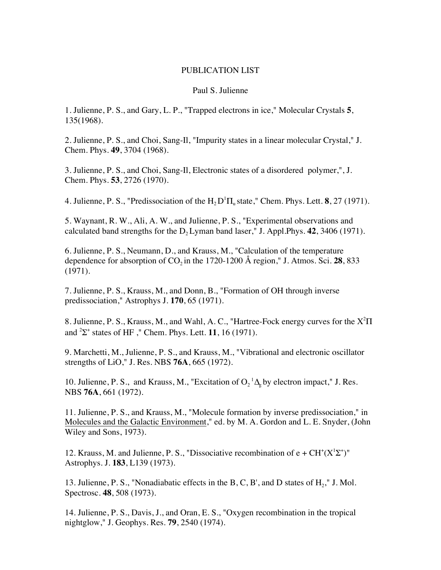#### PUBLICATION LIST

#### Paul S. Julienne

1. Julienne, P. S., and Gary, L. P., "Trapped electrons in ice," Molecular Crystals **5**, 135(1968).

2. Julienne, P. S., and Choi, Sang-Il, "Impurity states in a linear molecular Crystal," J. Chem. Phys. **49**, 3704 (1968).

3. Julienne, P. S., and Choi, Sang-Il, Electronic states of a disordered polymer,", J. Chem. Phys. **53**, 2726 (1970).

4. Julienne, P. S., "Predissociation of the  $H_2D^1\Pi_u$  state," Chem. Phys. Lett. **8**, 27 (1971).

5. Waynant, R. W., Ali, A. W., and Julienne, P. S., "Experimental observations and calculated band strengths for the  $D$ , Lyman band laser," J. Appl.Phys.  $42$ ,  $3406$  (1971).

6. Julienne, P. S., Neumann, D., and Krauss, M., "Calculation of the temperature dependence for absorption of  $CO_2$  in the 1720-1200 Å region," J. Atmos. Sci. 28, 833 (1971).

7. Julienne, P. S., Krauss, M., and Donn, B., "Formation of OH through inverse predissociation," Astrophys J. **170**, 65 (1971).

8. Julienne, P. S., Krauss, M., and Wahl, A. C., "Hartree-Fock energy curves for the X<sup>2</sup>Π and  ${}^{2}\Sigma^{+}$  states of HF, " Chem. Phys. Lett. **11**, 16 (1971).

9. Marchetti, M., Julienne, P. S., and Krauss, M., "Vibrational and electronic oscillator strengths of LiO," J. Res. NBS **76A**, 665 (1972).

10. Julienne, P. S., and Krauss, M., "Excitation of  $O_2^{-1}\Delta_g$  by electron impact," J. Res. NBS **76A**, 661 (1972).

11. Julienne, P. S., and Krauss, M., "Molecule formation by inverse predissociation," in Molecules and the Galactic Environment," ed. by M. A. Gordon and L. E. Snyder, (John Wiley and Sons, 1973).

12. Krauss, M. and Julienne, P. S., "Dissociative recombination of  $e + CH^{+}(X^{1}\Sigma^{+})$ " Astrophys. J. **183**, L139 (1973).

13. Julienne, P. S., "Nonadiabatic effects in the B, C, B', and D states of  $H_2$ ," J. Mol. Spectrosc. **48**, 508 (1973).

14. Julienne, P. S., Davis, J., and Oran, E. S., "Oxygen recombination in the tropical nightglow," J. Geophys. Res. **79**, 2540 (1974).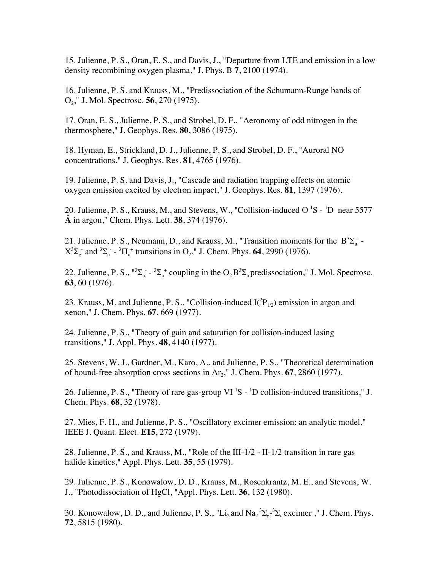15. Julienne, P. S., Oran, E. S., and Davis, J., "Departure from LTE and emission in a low density recombining oxygen plasma," J. Phys. B **7**, 2100 (1974).

16. Julienne, P. S. and Krauss, M., "Predissociation of the Schumann-Runge bands of O2," J. Mol. Spectrosc. **56**, 270 (1975).

17. Oran, E. S., Julienne, P. S., and Strobel, D. F., "Aeronomy of odd nitrogen in the thermosphere," J. Geophys. Res. **80**, 3086 (1975).

18. Hyman, E., Strickland, D. J., Julienne, P. S., and Strobel, D. F., "Auroral NO concentrations," J. Geophys. Res. **81**, 4765 (1976).

19. Julienne, P. S. and Davis, J., "Cascade and radiation trapping effects on atomic oxygen emission excited by electron impact," J. Geophys. Res. **81**, 1397 (1976).

20. Julienne, P. S., Krauss, M., and Stevens, W., "Collision-induced O  ${}^{1}S$  -  ${}^{1}D$  near 5577 **Å** in argon," Chem. Phys. Lett. **38**, 374 (1976).

21. Julienne, P. S., Neumann, D., and Krauss, M., "Transition moments for the  $B^3\Sigma_\text{u}$  - $X^3\Sigma_g$  and  ${}^3\Sigma_u$  -  ${}^3\Pi_u$  transitions in O<sub>2</sub>," J. Chem. Phys. **64**, 2990 (1976).

22. Julienne, P. S.,  $^{13}\Sigma_{u}$  -  $^{3}\Sigma_{u}$  coupling in the  $O_2 B^3 \Sigma_{u}$  predissociation," J. Mol. Spectrosc. **63**, 60 (1976).

23. Krauss, M. and Julienne, P. S., "Collision-induced  $I(^{2}P_{1/2})$  emission in argon and xenon," J. Chem. Phys. **67**, 669 (1977).

24. Julienne, P. S., "Theory of gain and saturation for collision-induced lasing transitions," J. Appl. Phys. **48**, 4140 (1977).

25. Stevens, W. J., Gardner, M., Karo, A., and Julienne, P. S., "Theoretical determination of bound-free absorption cross sections in  $Ar_2$ ," J. Chem. Phys. **67**, 2860 (1977).

26. Julienne, P. S., "Theory of rare gas-group VI  ${}^{1}S$  -  ${}^{1}D$  collision-induced transitions," J. Chem. Phys. **68**, 32 (1978).

27. Mies, F. H., and Julienne, P. S., "Oscillatory excimer emission: an analytic model," IEEE J. Quant. Elect. **E15**, 272 (1979).

28. Julienne, P. S., and Krauss, M., "Role of the III-1/2 - II-1/2 transition in rare gas halide kinetics," Appl. Phys. Lett. **35**, 55 (1979).

29. Julienne, P. S., Konowalow, D. D., Krauss, M., Rosenkrantz, M. E., and Stevens, W. J., "Photodissociation of HgCl, "Appl. Phys. Lett. **36**, 132 (1980).

30. Konowalow, D. D., and Julienne, P. S., "Li<sub>2</sub> and Na<sub>2</sub><sup>3</sup> $\Sigma_g$ <sup>-3</sup> $\Sigma_u$  excimer," J. Chem. Phys. **72**, 5815 (1980).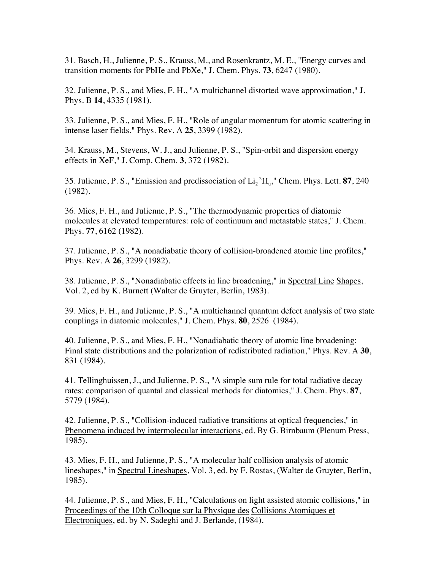31. Basch, H., Julienne, P. S., Krauss, M., and Rosenkrantz, M. E., "Energy curves and transition moments for PbHe and PbXe," J. Chem. Phys. **73**, 6247 (1980).

32. Julienne, P. S., and Mies, F. H., "A multichannel distorted wave approximation," J. Phys. B **14**, 4335 (1981).

33. Julienne, P. S., and Mies, F. H., "Role of angular momentum for atomic scattering in intense laser fields," Phys. Rev. A **25**, 3399 (1982).

34. Krauss, M., Stevens, W. J., and Julienne, P. S., "Spin-orbit and dispersion energy effects in XeF," J. Comp. Chem. **3**, 372 (1982).

35. Julienne, P. S., "Emission and predissociation of  $Li_2^2\Pi_u$ ," Chem. Phys. Lett. **87**, 240 (1982).

36. Mies, F. H., and Julienne, P. S., "The thermodynamic properties of diatomic molecules at elevated temperatures: role of continuum and metastable states," J. Chem. Phys. **77**, 6162 (1982).

37. Julienne, P. S., "A nonadiabatic theory of collision-broadened atomic line profiles," Phys. Rev. A **26**, 3299 (1982).

38. Julienne, P. S., "Nonadiabatic effects in line broadening," in Spectral Line Shapes, Vol. 2, ed by K. Burnett (Walter de Gruyter, Berlin, 1983).

39. Mies, F. H., and Julienne, P. S., "A multichannel quantum defect analysis of two state couplings in diatomic molecules," J. Chem. Phys. **80**, 2526 (1984).

40. Julienne, P. S., and Mies, F. H., "Nonadiabatic theory of atomic line broadening: Final state distributions and the polarization of redistributed radiation," Phys. Rev. A **30**, 831 (1984).

41. Tellinghuissen, J., and Julienne, P. S., "A simple sum rule for total radiative decay rates: comparison of quantal and classical methods for diatomics," J. Chem. Phys. **87**, 5779 (1984).

42. Julienne, P. S., "Collision-induced radiative transitions at optical frequencies," in Phenomena induced by intermolecular interactions, ed. By G. Birnbaum (Plenum Press, 1985).

43. Mies, F. H., and Julienne, P. S., "A molecular half collision analysis of atomic lineshapes," in Spectral Lineshapes, Vol. 3, ed. by F. Rostas, (Walter de Gruyter, Berlin, 1985).

44. Julienne, P. S., and Mies, F. H., "Calculations on light assisted atomic collisions," in Proceedings of the 10th Colloque sur la Physique des Collisions Atomiques et Electroniques, ed. by N. Sadeghi and J. Berlande, (1984).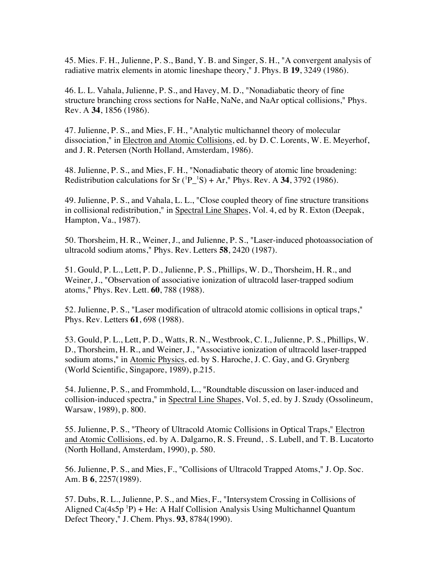45. Mies. F. H., Julienne, P. S., Band, Y. B. and Singer, S. H., "A convergent analysis of radiative matrix elements in atomic lineshape theory," J. Phys. B **19**, 3249 (1986).

46. L. L. Vahala, Julienne, P. S., and Havey, M. D., "Nonadiabatic theory of fine structure branching cross sections for NaHe, NaNe, and NaAr optical collisions," Phys. Rev. A **34**, 1856 (1986).

47. Julienne, P. S., and Mies, F. H., "Analytic multichannel theory of molecular dissociation," in Electron and Atomic Collisions, ed. by D. C. Lorents, W. E. Meyerhof, and J. R. Petersen (North Holland, Amsterdam, 1986).

48. Julienne, P. S., and Mies, F. H., "Nonadiabatic theory of atomic line broadening: Redistribution calculations for  $Sr(^{1}P_{-}^{1}S) + Ar$ ," Phys. Rev. A 34, 3792 (1986).

49. Julienne, P. S., and Vahala, L. L., "Close coupled theory of fine structure transitions in collisional redistribution," in Spectral Line Shapes, Vol. 4, ed by R. Exton (Deepak, Hampton, Va., 1987).

50. Thorsheim, H. R., Weiner, J., and Julienne, P. S., "Laser-induced photoassociation of ultracold sodium atoms," Phys. Rev. Letters **58**, 2420 (1987).

51. Gould, P. L., Lett, P. D., Julienne, P. S., Phillips, W. D., Thorsheim, H. R., and Weiner, J., "Observation of associative ionization of ultracold laser-trapped sodium atoms," Phys. Rev. Lett. **60**, 788 (1988).

52. Julienne, P. S., "Laser modification of ultracold atomic collisions in optical traps," Phys. Rev. Letters **61**, 698 (1988).

53. Gould, P. L., Lett, P. D., Watts, R. N., Westbrook, C. I., Julienne, P. S., Phillips, W. D., Thorsheim, H. R., and Weiner, J., "Associative ionization of ultracold laser-trapped sodium atoms," in Atomic Physics, ed. by S. Haroche, J. C. Gay, and G. Grynberg (World Scientific, Singapore, 1989), p.215.

54. Julienne, P. S., and Frommhold, L., "Roundtable discussion on laser-induced and collision-induced spectra," in Spectral Line Shapes, Vol. 5, ed. by J. Szudy (Ossolineum, Warsaw, 1989), p. 800.

55. Julienne, P. S., "Theory of Ultracold Atomic Collisions in Optical Traps," Electron and Atomic Collisions, ed. by A. Dalgarno, R. S. Freund, . S. Lubell, and T. B. Lucatorto (North Holland, Amsterdam, 1990), p. 580.

56. Julienne, P. S., and Mies, F., "Collisions of Ultracold Trapped Atoms," J. Op. Soc. Am. B **6**, 2257(1989).

57. Dubs, R. L., Julienne, P. S., and Mies, F., "Intersystem Crossing in Collisions of Aligned  $Ca(4s5p<sup>1</sup>P) + He$ : A Half Collision Analysis Using Multichannel Quantum Defect Theory," J. Chem. Phys. **93**, 8784(1990).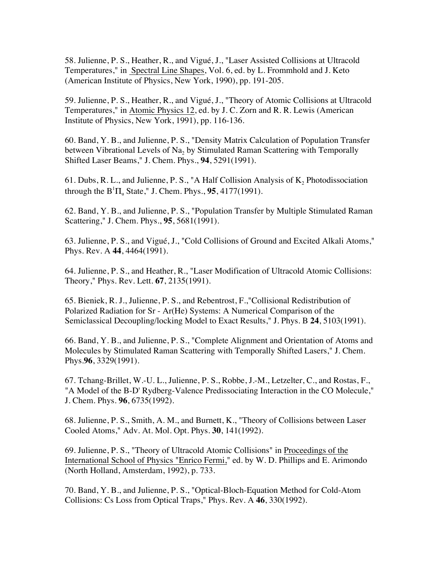58. Julienne, P. S., Heather, R., and Vigué, J., "Laser Assisted Collisions at Ultracold Temperatures," in Spectral Line Shapes, Vol. 6, ed. by L. Frommhold and J. Keto (American Institute of Physics, New York, 1990), pp. 191-205.

59. Julienne, P. S., Heather, R., and Vigué, J., "Theory of Atomic Collisions at Ultracold Temperatures," in Atomic Physics 12, ed. by J. C. Zorn and R. R. Lewis (American Institute of Physics, New York, 1991), pp. 116-136.

60. Band, Y. B., and Julienne, P. S., "Density Matrix Calculation of Population Transfer between Vibrational Levels of Na<sub>2</sub> by Stimulated Raman Scattering with Temporally Shifted Laser Beams," J. Chem. Phys., **94**, 5291(1991).

61. Dubs, R. L., and Julienne, P. S., "A Half Collision Analysis of  $K_2$  Photodissociation through the  $B<sup>1</sup>\Pi_u$  State," J. Chem. Phys., **95**, 4177(1991).

62. Band, Y. B., and Julienne, P. S., "Population Transfer by Multiple Stimulated Raman Scattering," J. Chem. Phys., **95**, 5681(1991).

63. Julienne, P. S., and Vigué, J., "Cold Collisions of Ground and Excited Alkali Atoms," Phys. Rev. A **44**, 4464(1991).

64. Julienne, P. S., and Heather, R., "Laser Modification of Ultracold Atomic Collisions: Theory," Phys. Rev. Lett. **67**, 2135(1991).

65. Bieniek, R. J., Julienne, P. S., and Rebentrost, F.,"Collisional Redistribution of Polarized Radiation for Sr - Ar(He) Systems: A Numerical Comparison of the Semiclassical Decoupling/locking Model to Exact Results," J. Phys. B **24**, 5103(1991).

66. Band, Y. B., and Julienne, P. S., "Complete Alignment and Orientation of Atoms and Molecules by Stimulated Raman Scattering with Temporally Shifted Lasers," J. Chem. Phys.**96**, 3329(1991).

67. Tchang-Brillet, W.-U. L., Julienne, P. S., Robbe, J.-M., Letzelter, C., and Rostas, F., "A Model of the B-D' Rydberg-Valence Predissociating Interaction in the CO Molecule," J. Chem. Phys. **96**, 6735(1992).

68. Julienne, P. S., Smith, A. M., and Burnett, K., "Theory of Collisions between Laser Cooled Atoms," Adv. At. Mol. Opt. Phys. **30**, 141(1992).

69. Julienne, P. S., "Theory of Ultracold Atomic Collisions" in Proceedings of the International School of Physics "Enrico Fermi," ed. by W. D. Phillips and E. Arimondo (North Holland, Amsterdam, 1992), p. 733.

70. Band, Y. B., and Julienne, P. S., "Optical-Bloch-Equation Method for Cold-Atom Collisions: Cs Loss from Optical Traps," Phys. Rev. A **46**, 330(1992).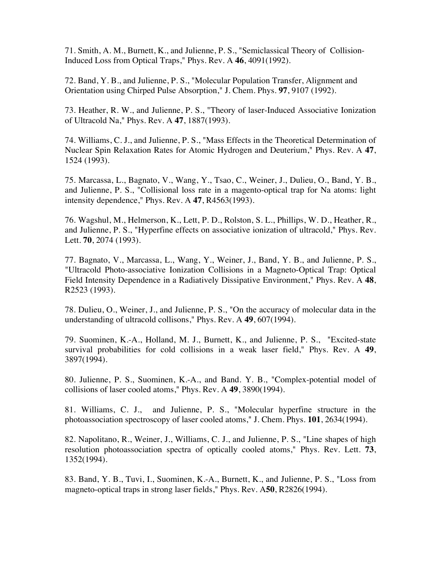71. Smith, A. M., Burnett, K., and Julienne, P. S., "Semiclassical Theory of Collision-Induced Loss from Optical Traps," Phys. Rev. A **46**, 4091(1992).

72. Band, Y. B., and Julienne, P. S., "Molecular Population Transfer, Alignment and Orientation using Chirped Pulse Absorption," J. Chem. Phys. **97**, 9107 (1992).

73. Heather, R. W., and Julienne, P. S., "Theory of laser-Induced Associative Ionization of Ultracold Na," Phys. Rev. A **47**, 1887(1993).

74. Williams, C. J., and Julienne, P. S., "Mass Effects in the Theoretical Determination of Nuclear Spin Relaxation Rates for Atomic Hydrogen and Deuterium," Phys. Rev. A **47**, 1524 (1993).

75. Marcassa, L., Bagnato, V., Wang, Y., Tsao, C., Weiner, J., Dulieu, O., Band, Y. B., and Julienne, P. S., "Collisional loss rate in a magento-optical trap for Na atoms: light intensity dependence," Phys. Rev. A **47**, R4563(1993).

76. Wagshul, M., Helmerson, K., Lett, P. D., Rolston, S. L., Phillips, W. D., Heather, R., and Julienne, P. S., "Hyperfine effects on associative ionization of ultracold," Phys. Rev. Lett. **70**, 2074 (1993).

77. Bagnato, V., Marcassa, L., Wang, Y., Weiner, J., Band, Y. B., and Julienne, P. S., "Ultracold Photo-associative Ionization Collisions in a Magneto-Optical Trap: Optical Field Intensity Dependence in a Radiatively Dissipative Environment," Phys. Rev. A **48**, R2523 (1993).

78. Dulieu, O., Weiner, J., and Julienne, P. S., "On the accuracy of molecular data in the understanding of ultracold collisons," Phys. Rev. A **49**, 607(1994).

79. Suominen, K.-A., Holland, M. J., Burnett, K., and Julienne, P. S., "Excited-state survival probabilities for cold collisions in a weak laser field," Phys. Rev. A **49**, 3897(1994).

80. Julienne, P. S., Suominen, K.-A., and Band. Y. B., "Complex-potential model of collisions of laser cooled atoms," Phys. Rev. A **49**, 3890(1994).

81. Williams, C. J., and Julienne, P. S., "Molecular hyperfine structure in the photoassociation spectroscopy of laser cooled atoms," J. Chem. Phys. **101**, 2634(1994).

82. Napolitano, R., Weiner, J., Williams, C. J., and Julienne, P. S., "Line shapes of high resolution photoassociation spectra of optically cooled atoms," Phys. Rev. Lett. **73**, 1352(1994).

83. Band, Y. B., Tuvi, I., Suominen, K.-A., Burnett, K., and Julienne, P. S., "Loss from magneto-optical traps in strong laser fields," Phys. Rev. A**50**, R2826(1994).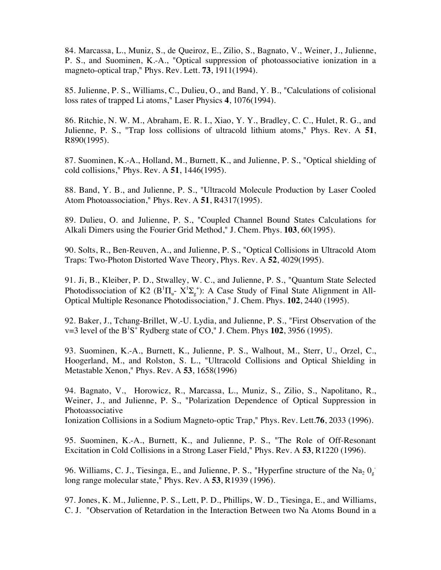84. Marcassa, L., Muniz, S., de Queiroz, E., Zilio, S., Bagnato, V., Weiner, J., Julienne, P. S., and Suominen, K.-A., "Optical suppression of photoassociative ionization in a magneto-optical trap," Phys. Rev. Lett. **73**, 1911(1994).

85. Julienne, P. S., Williams, C., Dulieu, O., and Band, Y. B., "Calculations of colisional loss rates of trapped Li atoms," Laser Physics **4**, 1076(1994).

86. Ritchie, N. W. M., Abraham, E. R. I., Xiao, Y. Y., Bradley, C. C., Hulet, R. G., and Julienne, P. S., "Trap loss collisions of ultracold lithium atoms," Phys. Rev. A **51**, R890(1995).

87. Suominen, K.-A., Holland, M., Burnett, K., and Julienne, P. S., "Optical shielding of cold collisions," Phys. Rev. A **51**, 1446(1995).

88. Band, Y. B., and Julienne, P. S., "Ultracold Molecule Production by Laser Cooled Atom Photoassociation," Phys. Rev. A **51**, R4317(1995).

89. Dulieu, O. and Julienne, P. S., "Coupled Channel Bound States Calculations for Alkali Dimers using the Fourier Grid Method," J. Chem. Phys. **103**, 60(1995).

90. Solts, R., Ben-Reuven, A., and Julienne, P. S., "Optical Collisions in Ultracold Atom Traps: Two-Photon Distorted Wave Theory, Phys. Rev. A **52**, 4029(1995).

91. Ji, B., Kleiber, P. D., Stwalley, W. C., and Julienne, P. S., "Quantum State Selected Photodissociation of K2 ( $B^1\Pi_u$ -  $X^1\Sigma_g^+$ ): A Case Study of Final State Alignment in All-Optical Multiple Resonance Photodissociation," J. Chem. Phys. **102**, 2440 (1995).

92. Baker, J., Tchang-Brillet, W.-U. Lydia, and Julienne, P. S., "First Observation of the  $v=3$  level of the  $B^1S^+$  Rydberg state of CO," J. Chem. Phys  $102$ , 3956 (1995).

93. Suominen, K.-A., Burnett, K., Julienne, P. S., Walhout, M., Sterr, U., Orzel, C., Hoogerland, M., and Rolston, S. L., "Ultracold Collisions and Optical Shielding in Metastable Xenon," Phys. Rev. A **53**, 1658(1996)

94. Bagnato, V., Horowicz, R., Marcassa, L., Muniz, S., Zilio, S., Napolitano, R., Weiner, J., and Julienne, P. S., "Polarization Dependence of Optical Suppression in Photoassociative

Ionization Collisions in a Sodium Magneto-optic Trap," Phys. Rev. Lett.**76**, 2033 (1996).

95. Suominen, K.-A., Burnett, K., and Julienne, P. S., "The Role of Off-Resonant Excitation in Cold Collisions in a Strong Laser Field," Phys. Rev. A **53**, R1220 (1996).

96. Williams, C. J., Tiesinga, E., and Julienne, P. S., "Hyperfine structure of the Na<sub>2</sub>  $0_g^$ long range molecular state," Phys. Rev. A **53**, R1939 (1996).

97. Jones, K. M., Julienne, P. S., Lett, P. D., Phillips, W. D., Tiesinga, E., and Williams, C. J. "Observation of Retardation in the Interaction Between two Na Atoms Bound in a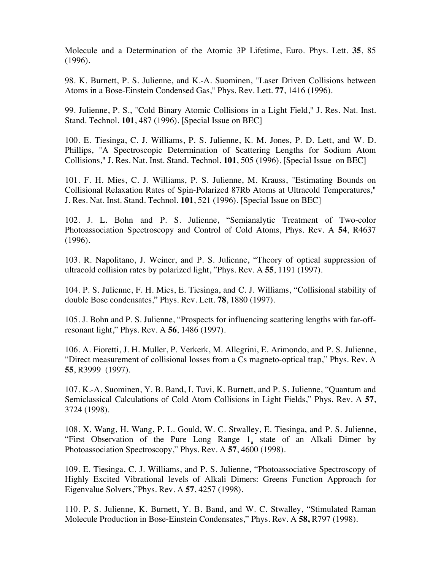Molecule and a Determination of the Atomic 3P Lifetime, Euro. Phys. Lett. **35**, 85 (1996).

98. K. Burnett, P. S. Julienne, and K.-A. Suominen, "Laser Driven Collisions between Atoms in a Bose-Einstein Condensed Gas," Phys. Rev. Lett. **77**, 1416 (1996).

99. Julienne, P. S., "Cold Binary Atomic Collisions in a Light Field," J. Res. Nat. Inst. Stand. Technol. **101**, 487 (1996). [Special Issue on BEC]

100. E. Tiesinga, C. J. Williams, P. S. Julienne, K. M. Jones, P. D. Lett, and W. D. Phillips, "A Spectroscopic Determination of Scattering Lengths for Sodium Atom Collisions," J. Res. Nat. Inst. Stand. Technol. **101**, 505 (1996). [Special Issue on BEC]

101. F. H. Mies, C. J. Williams, P. S. Julienne, M. Krauss, "Estimating Bounds on Collisional Relaxation Rates of Spin-Polarized 87Rb Atoms at Ultracold Temperatures," J. Res. Nat. Inst. Stand. Technol. **101**, 521 (1996). [Special Issue on BEC]

102. J. L. Bohn and P. S. Julienne, "Semianalytic Treatment of Two-color Photoassociation Spectroscopy and Control of Cold Atoms, Phys. Rev. A **54**, R4637 (1996).

103. R. Napolitano, J. Weiner, and P. S. Julienne, "Theory of optical suppression of ultracold collision rates by polarized light, "Phys. Rev. A **55**, 1191 (1997).

104. P. S. Julienne, F. H. Mies, E. Tiesinga, and C. J. Williams, "Collisional stability of double Bose condensates," Phys. Rev. Lett. **78**, 1880 (1997).

105. J. Bohn and P. S. Julienne, "Prospects for influencing scattering lengths with far-offresonant light," Phys. Rev. A **56**, 1486 (1997).

106. A. Fioretti, J. H. Muller, P. Verkerk, M. Allegrini, E. Arimondo, and P. S. Julienne, "Direct measurement of collisional losses from a Cs magneto-optical trap," Phys. Rev. A **55**, R3999 (1997).

107. K.-A. Suominen, Y. B. Band, I. Tuvi, K. Burnett, and P. S. Julienne, "Quantum and Semiclassical Calculations of Cold Atom Collisions in Light Fields," Phys. Rev. A **57**, 3724 (1998).

108. X. Wang, H. Wang, P. L. Gould, W. C. Stwalley, E. Tiesinga, and P. S. Julienne, "First Observation of the Pure Long Range  $1_{\text{u}}$  state of an Alkali Dimer by Photoassociation Spectroscopy," Phys. Rev. A **57**, 4600 (1998).

109. E. Tiesinga, C. J. Williams, and P. S. Julienne, "Photoassociative Spectroscopy of Highly Excited Vibrational levels of Alkali Dimers: Greens Function Approach for Eigenvalue Solvers,"Phys. Rev. A **57**, 4257 (1998).

110. P. S. Julienne, K. Burnett, Y. B. Band, and W. C. Stwalley, "Stimulated Raman Molecule Production in Bose-Einstein Condensates," Phys. Rev. A **58,** R797 (1998).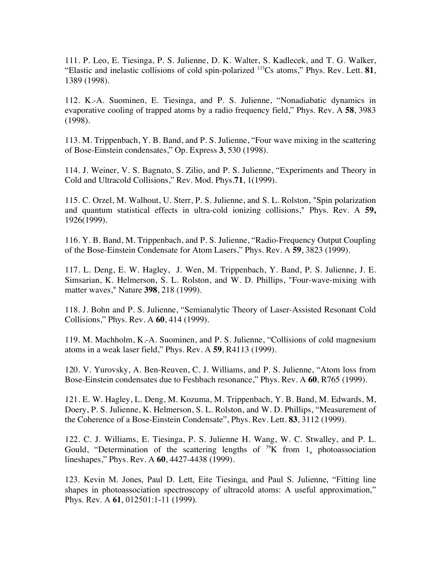111. P. Leo, E. Tiesinga, P. S. Julienne, D. K. Walter, S. Kadlecek, and T. G. Walker, "Elastic and inelastic collisions of cold spin-polarized 133Cs atoms," Phys. Rev. Lett. **81**, 1389 (1998).

112. K.-A. Suominen, E. Tiesinga, and P. S. Julienne, "Nonadiabatic dynamics in evaporative cooling of trapped atoms by a radio frequency field," Phys. Rev. A **58**, 3983 (1998).

113. M. Trippenbach, Y. B. Band, and P. S. Julienne, "Four wave mixing in the scattering of Bose-Einstein condensates," Op. Express **3**, 530 (1998).

114. J. Weiner, V. S. Bagnato, S. Zilio, and P. S. Julienne, "Experiments and Theory in Cold and Ultracold Collisions," Rev. Mod. Phys.**71**, 1(1999).

115. C. Orzel, M. Walhout, U. Sterr, P. S. Julienne, and S. L. Rolston, "Spin polarization and quantum statistical effects in ultra-cold ionizing collisions," Phys. Rev. A **59,** 1926(1999).

116. Y. B. Band, M. Trippenbach, and P. S. Julienne, "Radio-Frequency Output Coupling of the Bose-Einstein Condensate for Atom Lasers," Phys. Rev. A **59**, 3823 (1999).

117. L. Deng, E. W. Hagley, J. Wen, M. Trippenbach, Y. Band, P. S. Julienne, J. E. Simsarian, K. Helmerson, S. L. Rolston, and W. D. Phillips, "Four-wave-mixing with matter waves," Nature **398**, 218 (1999).

118. J. Bohn and P. S. Julienne, "Semianalytic Theory of Laser-Assisted Resonant Cold Collisions," Phys. Rev. A **60**, 414 (1999).

119. M. Machholm, K.-A. Suominen, and P. S. Julienne, "Collisions of cold magnesium atoms in a weak laser field," Phys. Rev. A **59**, R4113 (1999).

120. V. Yurovsky, A. Ben-Reuven, C. J. Williams, and P. S. Julienne, "Atom loss from Bose-Einstein condensates due to Feshbach resonance," Phys. Rev. A **60**, R765 (1999).

121. E. W. Hagley, L. Deng, M. Kozuma, M. Trippenbach, Y. B. Band, M. Edwards, M, Doery, P. S. Julienne, K. Helmerson, S. L. Rolston, and W. D. Phillips, "Measurement of the Coherence of a Bose-Einstein Condensate", Phys. Rev. Lett. **83**, 3112 (1999).

122. C. J. Williams, E. Tiesinga, P. S. Julienne H. Wang, W. C. Stwalley, and P. L. Gould, "Determination of the scattering lengths of  $\frac{39}{1}K$  from 1<sub>u</sub> photoassociation lineshapes," Phys. Rev. A **60**, 4427-4438 (1999).

123. Kevin M. Jones, Paul D. Lett, Eite Tiesinga, and Paul S. Julienne, "Fitting line shapes in photoassociation spectroscopy of ultracold atoms: A useful approximation," Phys. Rev. A **61**, 012501:1-11 (1999).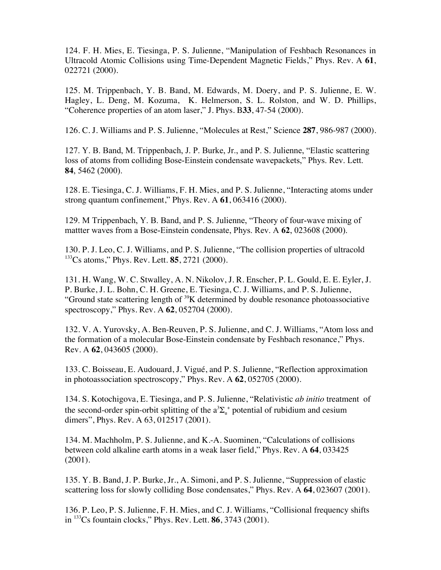124. F. H. Mies, E. Tiesinga, P. S. Julienne, "Manipulation of Feshbach Resonances in Ultracold Atomic Collisions using Time-Dependent Magnetic Fields," Phys. Rev. A **61**, 022721 (2000).

125. M. Trippenbach, Y. B. Band, M. Edwards, M. Doery, and P. S. Julienne, E. W. Hagley, L. Deng, M. Kozuma, K. Helmerson, S. L. Rolston, and W. D. Phillips, "Coherence properties of an atom laser," J. Phys. B**33**, 47-54 (2000).

126. C. J. Williams and P. S. Julienne, "Molecules at Rest," Science **287**, 986-987 (2000).

127. Y. B. Band, M. Trippenbach, J. P. Burke, Jr., and P. S. Julienne, "Elastic scattering loss of atoms from colliding Bose-Einstein condensate wavepackets," Phys. Rev. Lett. **84**, 5462 (2000).

128. E. Tiesinga, C. J. Williams, F. H. Mies, and P. S. Julienne, "Interacting atoms under strong quantum confinement," Phys. Rev. A **61**, 063416 (2000).

129. M Trippenbach, Y. B. Band, and P. S. Julienne, "Theory of four-wave mixing of mattter waves from a Bose-Einstein condensate, Phys. Rev. A **62**, 023608 (2000).

130. P. J. Leo, C. J. Williams, and P. S. Julienne, "The collision properties of ultracold 133Cs atoms," Phys. Rev. Lett. **85**, 2721 (2000).

131. H. Wang, W. C. Stwalley, A. N. Nikolov, J. R. Enscher, P. L. Gould, E. E. Eyler, J. P. Burke, J. L. Bohn, C. H. Greene, E. Tiesinga, C. J. Williams, and P. S. Julienne, "Ground state scattering length of  $39K$  determined by double resonance photoassociative spectroscopy," Phys. Rev. A **62**, 052704 (2000).

132. V. A. Yurovsky, A. Ben-Reuven, P. S. Julienne, and C. J. Williams, "Atom loss and the formation of a molecular Bose-Einstein condensate by Feshbach resonance," Phys. Rev. A **62**, 043605 (2000).

133. C. Boisseau, E. Audouard, J. Vigué, and P. S. Julienne, "Reflection approximation in photoassociation spectroscopy," Phys. Rev. A **62**, 052705 (2000).

134. S. Kotochigova, E. Tiesinga, and P. S. Julienne, "Relativistic *ab initio* treatment of the second-order spin-orbit splitting of the  $a^3\Sigma_u^+$  potential of rubidium and cesium dimers", Phys. Rev. A 63, 012517 (2001).

134. M. Machholm, P. S. Julienne, and K.-A. Suominen, "Calculations of collisions between cold alkaline earth atoms in a weak laser field," Phys. Rev. A **64**, 033425 (2001).

135. Y. B. Band, J. P. Burke, Jr., A. Simoni, and P. S. Julienne, "Suppression of elastic scattering loss for slowly colliding Bose condensates," Phys. Rev. A **64**, 023607 (2001).

136. P. Leo, P. S. Julienne, F. H. Mies, and C. J. Williams, "Collisional frequency shifts in 133Cs fountain clocks," Phys. Rev. Lett. **86**, 3743 (2001).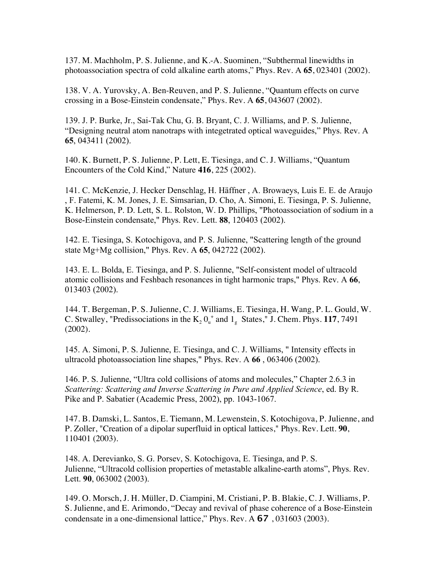137. M. Machholm, P. S. Julienne, and K.-A. Suominen, "Subthermal linewidths in photoassociation spectra of cold alkaline earth atoms," Phys. Rev. A **65**, 023401 (2002).

138. V. A. Yurovsky, A. Ben-Reuven, and P. S. Julienne, "Quantum effects on curve crossing in a Bose-Einstein condensate," Phys. Rev. A **65**, 043607 (2002).

139. J. P. Burke, Jr., Sai-Tak Chu, G. B. Bryant, C. J. Williams, and P. S. Julienne, "Designing neutral atom nanotraps with integetrated optical waveguides," Phys. Rev. A **65**, 043411 (2002).

140. K. Burnett, P. S. Julienne, P. Lett, E. Tiesinga, and C. J. Williams, "Quantum Encounters of the Cold Kind," Nature **416**, 225 (2002).

141. C. McKenzie, J. Hecker Denschlag, H. Häffner , A. Browaeys, Luis E. E. de Araujo , F. Fatemi, K. M. Jones, J. E. Simsarian, D. Cho, A. Simoni, E. Tiesinga, P. S. Julienne, K. Helmerson, P. D. Lett, S. L. Rolston, W. D. Phillips, "Photoassociation of sodium in a Bose-Einstein condensate," Phys. Rev. Lett. **88**, 120403 (2002).

142. E. Tiesinga, S. Kotochigova, and P. S. Julienne, "Scattering length of the ground state Mg+Mg collision," Phys. Rev. A **65**, 042722 (2002).

143. E. L. Bolda, E. Tiesinga, and P. S. Julienne, "Self-consistent model of ultracold atomic collisions and Feshbach resonances in tight harmonic traps," Phys. Rev. A **66**, 013403 (2002).

144. T. Bergeman, P. S. Julienne, C. J. Williams, E. Tiesinga, H. Wang, P. L. Gould, W. C. Stwalley, "Predissociations in the  $K_2 O_u^+$  and  $1_g$  States," J. Chem. Phys. 117, 7491 (2002).

145. A. Simoni, P. S. Julienne, E. Tiesinga, and C. J. Williams, " Intensity effects in ultracold photoassociation line shapes," Phys. Rev. A **66** , 063406 (2002).

146. P. S. Julienne, "Ultra cold collisions of atoms and molecules," Chapter 2.6.3 in *Scattering: Scattering and Inverse Scattering in Pure and Applied Science*, ed. By R. Pike and P. Sabatier (Academic Press, 2002), pp. 1043-1067.

147. B. Damski, L. Santos, E. Tiemann, M. Lewenstein, S. Kotochigova, P. Julienne, and P. Zoller, "Creation of a dipolar superfluid in optical lattices," Phys. Rev. Lett. **90**, 110401 (2003).

148. A. Derevianko, S. G. Porsev, S. Kotochigova, E. Tiesinga, and P. S. Julienne, "Ultracold collision properties of metastable alkaline-earth atoms", Phys. Rev. Lett. **90**, 063002 (2003).

149. O. Morsch, J. H. Müller, D. Ciampini, M. Cristiani, P. B. Blakie, C. J. Williams, P. S. Julienne, and E. Arimondo, "Decay and revival of phase coherence of a Bose-Einstein condensate in a one-dimensional lattice," Phys. Rev. A **67** , 031603 (2003).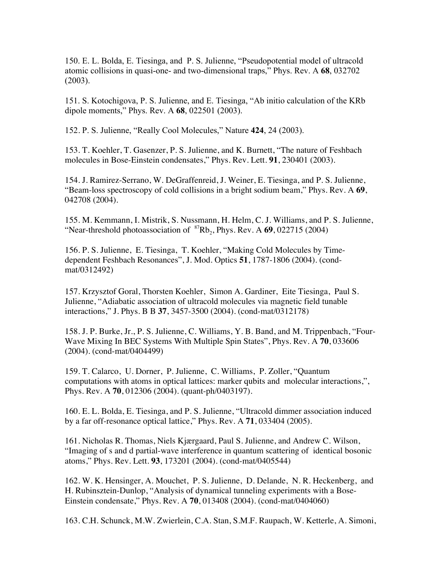150. E. L. Bolda, E. Tiesinga, and P. S. Julienne, "Pseudopotential model of ultracold atomic collisions in quasi-one- and two-dimensional traps," Phys. Rev. A **68**, 032702 (2003).

151. S. Kotochigova, P. S. Julienne, and E. Tiesinga, "Ab initio calculation of the KRb dipole moments," Phys. Rev. A **68**, 022501 (2003).

152. P. S. Julienne, "Really Cool Molecules," Nature **424**, 24 (2003).

153. T. Koehler, T. Gasenzer, P. S. Julienne, and K. Burnett, "The nature of Feshbach molecules in Bose-Einstein condensates," Phys. Rev. Lett. **91**, 230401 (2003).

154. J. Ramirez-Serrano, W. DeGraffenreid, J. Weiner, E. Tiesinga, and P. S. Julienne, "Beam-loss spectroscopy of cold collisions in a bright sodium beam," Phys. Rev. A **69**, 042708 (2004).

155. M. Kemmann, I. Mistrik, S. Nussmann, H. Helm, C. J. Williams, and P. S. Julienne, "Near-threshold photoassociation of  ${}^{87}Rb_2$ , Phys. Rev. A  $69, 022715$  (2004)

156. P. S. Julienne, E. Tiesinga, T. Koehler, "Making Cold Molecules by Timedependent Feshbach Resonances", J. Mod. Optics **51**, 1787-1806 (2004). (condmat/0312492)

157. Krzysztof Goral, Thorsten Koehler, Simon A. Gardiner, Eite Tiesinga, Paul S. Julienne, "Adiabatic association of ultracold molecules via magnetic field tunable interactions," J. Phys. B B **37**, 3457-3500 (2004). (cond-mat/0312178)

158. J. P. Burke, Jr., P. S. Julienne, C. Williams, Y. B. Band, and M. Trippenbach, "Four-Wave Mixing In BEC Systems With Multiple Spin States", Phys. Rev. A **70**, 033606 (2004). (cond-mat/0404499)

159. T. Calarco, U. Dorner, P. Julienne, C. Williams, P. Zoller, "Quantum computations with atoms in optical lattices: marker qubits and molecular interactions,", Phys. Rev. A **70**, 012306 (2004). (quant-ph/0403197).

160. E. L. Bolda, E. Tiesinga, and P. S. Julienne, "Ultracold dimmer association induced by a far off-resonance optical lattice," Phys. Rev. A **71**, 033404 (2005).

161. Nicholas R. Thomas, Niels Kjærgaard, Paul S. Julienne, and Andrew C. Wilson, "Imaging of s and d partial-wave interference in quantum scattering of identical bosonic atoms," Phys. Rev. Lett. **93**, 173201 (2004). (cond-mat/0405544)

162. W. K. Hensinger, A. Mouchet, P. S. Julienne, D. Delande, N. R. Heckenberg, and H. Rubinsztein-Dunlop, "Analysis of dynamical tunneling experiments with a Bose-Einstein condensate," Phys. Rev. A **70**, 013408 (2004). (cond-mat/0404060)

163. C.H. Schunck, M.W. Zwierlein, C.A. Stan, S.M.F. Raupach, W. Ketterle, A. Simoni,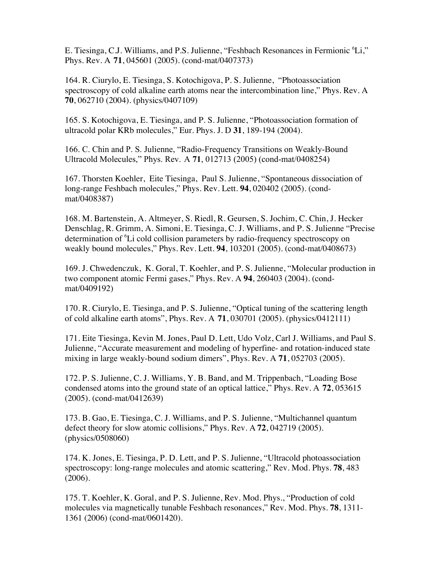E. Tiesinga, C.J. Williams, and P.S. Julienne, "Feshbach Resonances in Fermionic <sup>6</sup>Li," Phys. Rev. A **71**, 045601 (2005). (cond-mat/0407373)

164. R. Ciurylo, E. Tiesinga, S. Kotochigova, P. S. Julienne, "Photoassociation spectroscopy of cold alkaline earth atoms near the intercombination line," Phys. Rev. A **70**, 062710 (2004). (physics/0407109)

165. S. Kotochigova, E. Tiesinga, and P. S. Julienne, "Photoassociation formation of ultracold polar KRb molecules," Eur. Phys. J. D **31**, 189-194 (2004).

166. C. Chin and P. S. Julienne, "Radio-Frequency Transitions on Weakly-Bound Ultracold Molecules," Phys. Rev. A **71**, 012713 (2005) (cond-mat/0408254)

167. Thorsten Koehler, Eite Tiesinga, Paul S. Julienne, "Spontaneous dissociation of long-range Feshbach molecules," Phys. Rev. Lett. **94**, 020402 (2005). (condmat/0408387)

168. M. Bartenstein, A. Altmeyer, S. Riedl, R. Geursen, S. Jochim, C. Chin, J. Hecker Denschlag, R. Grimm, A. Simoni, E. Tiesinga, C. J. Williams, and P. S. Julienne "Precise determination of <sup>6</sup>Li cold collision parameters by radio-frequency spectroscopy on weakly bound molecules," Phys. Rev. Lett. **94**, 103201 (2005). (cond-mat/0408673)

169. J. Chwedenczuk, K. Goral, T. Koehler, and P. S. Julienne, "Molecular production in two component atomic Fermi gases," Phys. Rev. A **94**, 260403 (2004). (condmat/0409192)

170. R. Ciurylo, E. Tiesinga, and P. S. Julienne, "Optical tuning of the scattering length of cold alkaline earth atoms", Phys. Rev. A **71**, 030701 (2005). (physics/0412111)

171. Eite Tiesinga, Kevin M. Jones, Paul D. Lett, Udo Volz, Carl J. Williams, and Paul S. Julienne, "Accurate measurement and modeling of hyperfine- and rotation-induced state mixing in large weakly-bound sodium dimers", Phys. Rev. A **71**, 052703 (2005).

172. P. S. Julienne, C. J. Williams, Y. B. Band, and M. Trippenbach, "Loading Bose condensed atoms into the ground state of an optical lattice," Phys. Rev. A **72**, 053615 (2005). (cond-mat/0412639)

173. B. Gao, E. Tiesinga, C. J. Williams, and P. S. Julienne, "Multichannel quantum defect theory for slow atomic collisions," Phys. Rev. A **72**, 042719 (2005). (physics/0508060)

174. K. Jones, E. Tiesinga, P. D. Lett, and P. S. Julienne, "Ultracold photoassociation spectroscopy: long-range molecules and atomic scattering," Rev. Mod. Phys. **78**, 483 (2006).

175. T. Koehler, K. Goral, and P. S. Julienne, Rev. Mod. Phys., "Production of cold molecules via magnetically tunable Feshbach resonances," Rev. Mod. Phys. **78**, 1311- 1361 (2006) (cond-mat/0601420).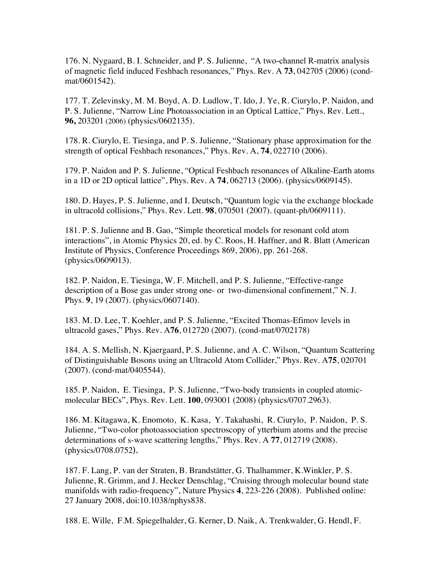176. N. Nygaard, B. I. Schneider, and P. S. Julienne, "A two-channel R-matrix analysis of magnetic field induced Feshbach resonances," Phys. Rev. A **73**, 042705 (2006) (condmat/0601542).

177. T. Zelevinsky, M. M. Boyd, A. D. Ludlow, T. Ido, J. Ye, R. Ciurylo, P. Naidon, and P. S. Julienne, "Narrow Line Photoassociation in an Optical Lattice," Phys. Rev. Lett., **96,** 203201 (2006) (physics/0602135).

178. R. Ciurylo, E. Tiesinga, and P. S. Julienne, "Stationary phase approximation for the strength of optical Feshbach resonances," Phys. Rev. A, **74**, 022710 (2006).

179. P. Naidon and P. S. Julienne, "Optical Feshbach resonances of Alkaline-Earth atoms in a 1D or 2D optical lattice", Phys. Rev. A **74**, 062713 (2006). (physics/0609145).

180. D. Hayes, P. S. Julienne, and I. Deutsch, "Quantum logic via the exchange blockade in ultracold collisions," Phys. Rev. Lett. **98**, 070501 (2007). (quant-ph/0609111).

181. P. S. Julienne and B. Gao, "Simple theoretical models for resonant cold atom interactions", in Atomic Physics 20, ed. by C. Roos, H. Haffner, and R. Blatt (American Institute of Physics, Conference Proceedings 869, 2006), pp. 261-268. (physics/0609013).

182. P. Naidon, E. Tiesinga, W. F. Mitchell, and P. S. Julienne, "Effective-range description of a Bose gas under strong one- or two-dimensional confinement," N. J. Phys. **9**, 19 (2007). (physics/0607140).

183. M. D. Lee, T. Koehler, and P. S. Julienne, "Excited Thomas-Efimov levels in ultracold gases," Phys. Rev. A**76**, 012720 (2007). (cond-mat/0702178)

184. A. S. Mellish, N. Kjaergaard, P. S. Julienne, and A. C. Wilson, "Quantum Scattering of Distinguishable Bosons using an Ultracold Atom Collider," Phys. Rev. A**75**, 020701 (2007). (cond-mat/0405544).

185. P. Naidon, E. Tiesinga, P. S. Julienne, "Two-body transients in coupled atomicmolecular BECs", Phys. Rev. Lett. **100**, 093001 (2008) (physics/0707.2963).

186. M. Kitagawa, K. Enomoto, K. Kasa, Y. Takahashi, R. Ciurylo, P. Naidon, P. S. Julienne, "Two-color photoassociation spectroscopy of ytterbium atoms and the precise determinations of s-wave scattering lengths," Phys. Rev. A **77**, 012719 (2008). (physics/0708.0752).

187. F. Lang, P. van der Straten, B. Brandstätter, G. Thalhammer, K.Winkler, P. S. Julienne, R. Grimm, and J. Hecker Denschlag, "Cruising through molecular bound state manifolds with radio-frequency", Nature Physics **4**, 223-226 (2008). Published online: 27 January 2008, doi:10.1038/nphys838.

188. E. Wille, F.M. Spiegelhalder, G. Kerner, D. Naik, A. Trenkwalder, G. Hendl, F.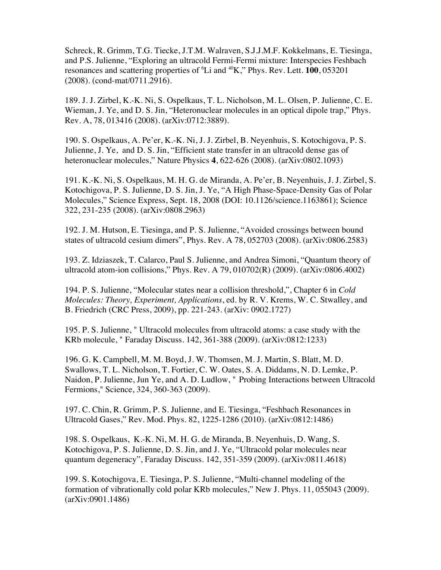Schreck, R. Grimm, T.G. Tiecke, J.T.M. Walraven, S.J.J.M.F. Kokkelmans, E. Tiesinga, and P.S. Julienne, "Exploring an ultracold Fermi-Fermi mixture: Interspecies Feshbach resonances and scattering properties of <sup>6</sup>Li and <sup>40</sup>K," Phys. Rev. Lett. **100**, 053201 (2008). (cond-mat/0711.2916).

189. J. J. Zirbel, K.-K. Ni, S. Ospelkaus, T. L. Nicholson, M. L. Olsen, P. Julienne, C. E. Wieman, J. Ye, and D. S. Jin, "Heteronuclear molecules in an optical dipole trap," Phys. Rev. A, 78, 013416 (2008). (arXiv:0712:3889).

190. S. Ospelkaus, A. Pe'er, K.-K. Ni, J. J. Zirbel, B. Neyenhuis, S. Kotochigova, P. S. Julienne, J. Ye, and D. S. Jin, "Efficient state transfer in an ultracold dense gas of heteronuclear molecules," Nature Physics **4**, 622-626 (2008). (arXiv:0802.1093)

191. K.-K. Ni, S. Ospelkaus, M. H. G. de Miranda, A. Pe'er, B. Neyenhuis, J. J. Zirbel, S. Kotochigova, P. S. Julienne, D. S. Jin, J. Ye, "A High Phase-Space-Density Gas of Polar Molecules," Science Express, Sept. 18, 2008 (DOI: 10.1126/science.1163861); Science 322, 231-235 (2008). (arXiv:0808.2963)

192. J. M. Hutson, E. Tiesinga, and P. S. Julienne, "Avoided crossings between bound states of ultracold cesium dimers", Phys. Rev. A 78, 052703 (2008). (arXiv:0806.2583)

193. Z. Idziaszek, T. Calarco, Paul S. Julienne, and Andrea Simoni, "Quantum theory of ultracold atom-ion collisions," Phys. Rev. A 79, 010702(R) (2009). (arXiv:0806.4002)

194. P. S. Julienne, "Molecular states near a collision threshold,", Chapter 6 in *Cold Molecules: Theory, Experiment, Applications*, ed. by R. V. Krems, W. C. Stwalley, and B. Friedrich (CRC Press, 2009), pp. 221-243. (arXiv: 0902.1727)

195. P. S. Julienne, " Ultracold molecules from ultracold atoms: a case study with the KRb molecule, " Faraday Discuss. 142, 361-388 (2009). (arXiv:0812:1233)

196. G. K. Campbell, M. M. Boyd, J. W. Thomsen, M. J. Martin, S. Blatt, M. D. Swallows, T. L. Nicholson, T. Fortier, C. W. Oates, S. A. Diddams, N. D. Lemke, P. Naidon, P. Julienne, Jun Ye, and A. D. Ludlow, " Probing Interactions between Ultracold Fermions," Science, 324, 360-363 (2009).

197. C. Chin, R. Grimm, P. S. Julienne, and E. Tiesinga, "Feshbach Resonances in Ultracold Gases," Rev. Mod. Phys. 82, 1225-1286 (2010). (arXiv:0812:1486)

198. S. Ospelkaus, K.-K. Ni, M. H. G. de Miranda, B. Neyenhuis, D. Wang, S. Kotochigova, P. S. Julienne, D. S. Jin, and J. Ye, "Ultracold polar molecules near quantum degeneracy", Faraday Discuss. 142, 351-359 (2009). (arXiv:0811.4618)

199. S. Kotochigova, E. Tiesinga, P. S. Julienne, "Multi-channel modeling of the formation of vibrationally cold polar KRb molecules," New J. Phys. 11, 055043 (2009). (arXiv:0901.1486)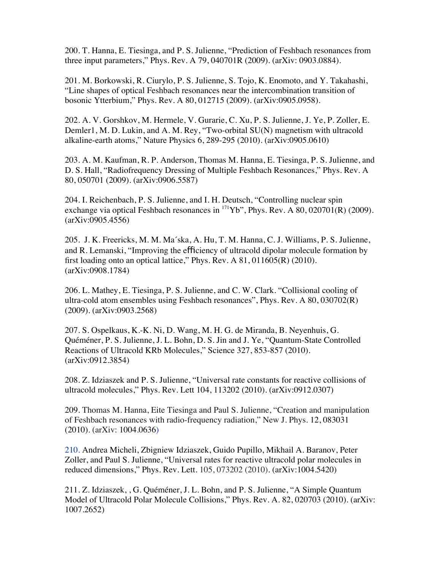200. T. Hanna, E. Tiesinga, and P. S. Julienne, "Prediction of Feshbach resonances from three input parameters," Phys. Rev. A 79, 040701R (2009). (arXiv: 0903.0884).

201. M. Borkowski, R. Ciurylo, P. S. Julienne, S. Tojo, K. Enomoto, and Y. Takahashi, "Line shapes of optical Feshbach resonances near the intercombination transition of bosonic Ytterbium," Phys. Rev. A 80, 012715 (2009). (arXiv:0905.0958).

202. A. V. Gorshkov, M. Hermele, V. Gurarie, C. Xu, P. S. Julienne, J. Ye, P. Zoller, E. Demler1, M. D. Lukin, and A. M. Rey, "Two-orbital SU(N) magnetism with ultracold alkaline-earth atoms," Nature Physics 6, 289-295 (2010). (arXiv:0905.0610)

203. A. M. Kaufman, R. P. Anderson, Thomas M. Hanna, E. Tiesinga, P. S. Julienne, and D. S. Hall, "Radiofrequency Dressing of Multiple Feshbach Resonances," Phys. Rev. A 80, 050701 (2009). (arXiv:0906.5587)

204. I. Reichenbach, P. S. Julienne, and I. H. Deutsch, "Controlling nuclear spin exchange via optical Feshbach resonances in  $^{171}Yb$ ", Phys. Rev. A 80, 020701(R) (2009). (arXiv:0905.4556)

205. J. K. Freericks, M. M. Ma´ska, A. Hu, T. M. Hanna, C. J. Williams, P. S. Julienne, and R. Lemanski, "Improving the efficiency of ultracold dipolar molecule formation by first loading onto an optical lattice," Phys. Rev.  $A\ 81, 011605(R)$  (2010). (arXiv:0908.1784)

206. L. Mathey, E. Tiesinga, P. S. Julienne, and C. W. Clark. "Collisional cooling of ultra-cold atom ensembles using Feshbach resonances", Phys. Rev. A 80, 030702(R) (2009). (arXiv:0903.2568)

207. S. Ospelkaus, K.-K. Ni, D. Wang, M. H. G. de Miranda, B. Neyenhuis, G. Quéméner, P. S. Julienne, J. L. Bohn, D. S. Jin and J. Ye, "Quantum-State Controlled Reactions of Ultracold KRb Molecules," Science 327, 853-857 (2010). (arXiv:0912.3854)

208. Z. Idziaszek and P. S. Julienne, "Universal rate constants for reactive collisions of ultracold molecules," Phys. Rev. Lett 104, 113202 (2010). (arXiv:0912.0307)

209. Thomas M. Hanna, Eite Tiesinga and Paul S. Julienne, "Creation and manipulation of Feshbach resonances with radio-frequency radiation," New J. Phys. 12, 083031 (2010). (arXiv: 1004.0636)

210. Andrea Micheli, Zbigniew Idziaszek, Guido Pupillo, Mikhail A. Baranov, Peter Zoller, and Paul S. Julienne, "Universal rates for reactive ultracold polar molecules in reduced dimensions," Phys. Rev. Lett. 105, 073202 (2010). (arXiv:1004.5420)

211. Z. Idziaszek, , G. Quéméner, J. L. Bohn, and P. S. Julienne, "A Simple Quantum Model of Ultracold Polar Molecule Collisions," Phys. Rev. A. 82, 020703 (2010). (arXiv: 1007.2652)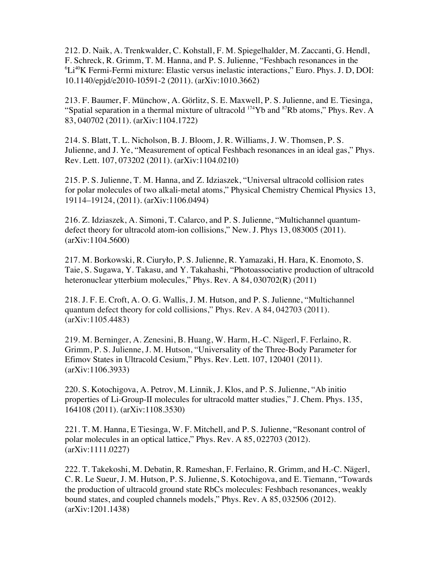212. D. Naik, A. Trenkwalder, C. Kohstall, F. M. Spiegelhalder, M. Zaccanti, G. Hendl, F. Schreck, R. Grimm, T. M. Hanna, and P. S. Julienne, "Feshbach resonances in the  ${}^{6}Li^{40}K$  Fermi-Fermi mixture: Elastic versus inelastic interactions," Euro. Phys. J. D, DOI: 10.1140/epjd/e2010-10591-2 (2011). (arXiv:1010.3662)

213. F. Baumer, F. Münchow, A. Görlitz, S. E. Maxwell, P. S. Julienne, and E. Tiesinga, "Spatial separation in a thermal mixture of ultracold <sup>174</sup>Yb and <sup>87</sup>Rb atoms," Phys. Rev. A 83, 040702 (2011). (arXiv:1104.1722)

214. S. Blatt, T. L. Nicholson, B. J. Bloom, J. R. Williams, J. W. Thomsen, P. S. Julienne, and J. Ye, "Measurement of optical Feshbach resonances in an ideal gas," Phys. Rev. Lett. 107, 073202 (2011). (arXiv:1104.0210)

215. P. S. Julienne, T. M. Hanna, and Z. Idziaszek, "Universal ultracold collision rates for polar molecules of two alkali-metal atoms," Physical Chemistry Chemical Physics 13, 19114–19124, (2011). (arXiv:1106.0494)

216. Z. Idziaszek, A. Simoni, T. Calarco, and P. S. Julienne, "Multichannel quantumdefect theory for ultracold atom-ion collisions," New. J. Phys 13, 083005 (2011). (arXiv:1104.5600)

217. M. Borkowski, R. Ciuryło, P. S. Julienne, R. Yamazaki, H. Hara, K. Enomoto, S. Taie, S. Sugawa, Y. Takasu, and Y. Takahashi, "Photoassociative production of ultracold heteronuclear ytterbium molecules," Phys. Rev. A 84, 030702(R) (2011)

218. J. F. E. Croft, A. O. G. Wallis, J. M. Hutson, and P. S. Julienne, "Multichannel quantum defect theory for cold collisions," Phys. Rev. A 84, 042703 (2011). (arXiv:1105.4483)

219. M. Berninger, A. Zenesini, B. Huang, W. Harm, H.-C. Nägerl, F. Ferlaino, R. Grimm, P. S. Julienne, J. M. Hutson, "Universality of the Three-Body Parameter for Efimov States in Ultracold Cesium," Phys. Rev. Lett. 107, 120401 (2011). (arXiv:1106.3933)

220. S. Kotochigova, A. Petrov, M. Linnik, J. Klos, and P. S. Julienne, "Ab initio properties of Li-Group-II molecules for ultracold matter studies," J. Chem. Phys. 135, 164108 (2011). (arXiv:1108.3530)

221. T. M. Hanna, E Tiesinga, W. F. Mitchell, and P. S. Julienne, "Resonant control of polar molecules in an optical lattice," Phys. Rev. A 85, 022703 (2012). (arXiv:1111.0227)

222. T. Takekoshi, M. Debatin, R. Rameshan, F. Ferlaino, R. Grimm, and H.-C. Nägerl, C. R. Le Sueur, J. M. Hutson, P. S. Julienne, S. Kotochigova, and E. Tiemann, "Towards the production of ultracold ground state RbCs molecules: Feshbach resonances, weakly bound states, and coupled channels models," Phys. Rev. A 85, 032506 (2012). (arXiv:1201.1438)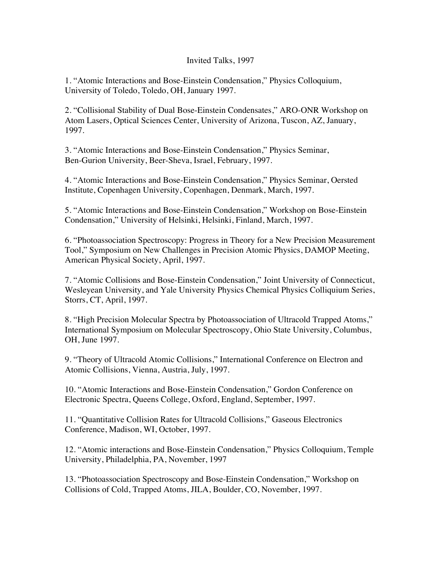#### Invited Talks, 1997

1. "Atomic Interactions and Bose-Einstein Condensation," Physics Colloquium, University of Toledo, Toledo, OH, January 1997.

2. "Collisional Stability of Dual Bose-Einstein Condensates," ARO-ONR Workshop on Atom Lasers, Optical Sciences Center, University of Arizona, Tuscon, AZ, January, 1997.

3. "Atomic Interactions and Bose-Einstein Condensation," Physics Seminar, Ben-Gurion University, Beer-Sheva, Israel, February, 1997.

4. "Atomic Interactions and Bose-Einstein Condensation," Physics Seminar, Oersted Institute, Copenhagen University, Copenhagen, Denmark, March, 1997.

5. "Atomic Interactions and Bose-Einstein Condensation," Workshop on Bose-Einstein Condensation," University of Helsinki, Helsinki, Finland, March, 1997.

6. "Photoassociation Spectroscopy: Progress in Theory for a New Precision Measurement Tool," Symposium on New Challenges in Precision Atomic Physics, DAMOP Meeting, American Physical Society, April, 1997.

7. "Atomic Collisions and Bose-Einstein Condensation," Joint University of Connecticut, Wesleyean University, and Yale University Physics Chemical Physics Colliquium Series, Storrs, CT, April, 1997.

8. "High Precision Molecular Spectra by Photoassociation of Ultracold Trapped Atoms," International Symposium on Molecular Spectroscopy, Ohio State University, Columbus, OH, June 1997.

9. "Theory of Ultracold Atomic Collisions," International Conference on Electron and Atomic Collisions, Vienna, Austria, July, 1997.

10. "Atomic Interactions and Bose-Einstein Condensation," Gordon Conference on Electronic Spectra, Queens College, Oxford, England, September, 1997.

11. "Quantitative Collision Rates for Ultracold Collisions," Gaseous Electronics Conference, Madison, WI, October, 1997.

12. "Atomic interactions and Bose-Einstein Condensation," Physics Colloquium, Temple University, Philadelphia, PA, November, 1997

13. "Photoassociation Spectroscopy and Bose-Einstein Condensation," Workshop on Collisions of Cold, Trapped Atoms, JILA, Boulder, CO, November, 1997.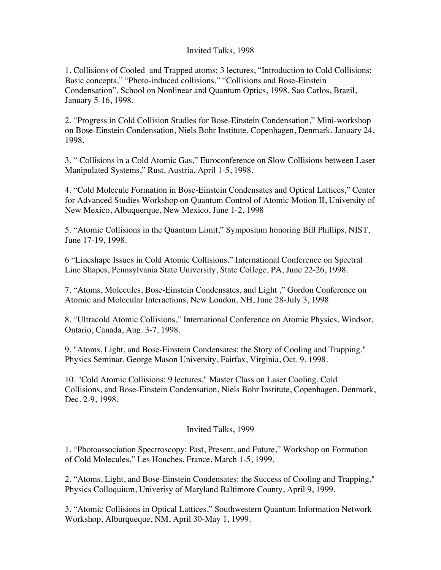#### Invited Talks, 1998

1. Collisions of Cooled and Trapped atoms: 3 lectures, "Introduction to Cold Collisions: Basic concepts," "Photo-induced collisions," "Collisions and Bose-Einstein Condensation", School on Nonlinear and Quantum Optics, 1998, Sao Carlos, Brazil, January 5-16, 1998.

2. "Progress in Cold Collision Studies for Bose-Einstein Condensation," Mini-workshop on Bose-Einstein Condensation, Niels Bohr Institute, Copenhagen, Denmark, January 24, 1998.

3. " Collisions in a Cold Atomic Gas," Euroconference on Slow Collisions between Laser Manipulated Systems," Rust, Austria, April 1-5, 1998.

4. "Cold Molecule Formation in Bose-Einstein Condensates and Optical Lattices," Center for Advanced Studies Workshop on Quantum Control of Atomic Motion II, University of New Mexico, Albuquerque, New Mexico, June 1-2, 1998

5. "Atomic Collisions in the Quantum Limit," Symposium honoring Bill Phillips, NIST, June 17-19, 1998.

6 "Lineshape Issues in Cold Atomic Collisions." International Conference on Spectral Line Shapes, Pennsylvania State University, State College, PA, June 22-26, 1998.

7. "Atoms, Molecules, Bose-Einstein Condensates, and Light ," Gordon Conference on Atomic and Molecular Interactions, New London, NH, June 28-July 3, 1998

8. "Ultracold Atomic Collisions," International Conference on Atomic Physics, Windsor, Ontario, Canada, Aug. 3-7, 1998.

9. "Atoms, Light, and Bose-Einstein Condensates: the Story of Cooling and Trapping," Physics Seminar, George Mason University, Fairfax, Virginia, Oct. 9, 1998.

10. "Cold Atomic Collisions: 9 lectures," Master Class on Laser Cooling, Cold Collisions, and Bose-Einstein Condensation, Niels Bohr Institute, Copenhagen, Denmark, Dec. 2-9, 1998.

# Invited Talks, 1999

1. "Photoassociation Spectroscopy: Past, Present, and Future," Workshop on Formation of Cold Molecules," Les Houches, France, March 1-5, 1999.

2. "Atoms, Light, and Bose-Einstein Condensates: the Success of Cooling and Trapping," Physics Colloquium, Univerisy of Maryland Baltimore County, April 9, 1999.

3. "Atomic Collisions in Optical Lattices," Southwestern Quantum Information Network Workshop, Alburqueque, NM, April 30-May 1, 1999.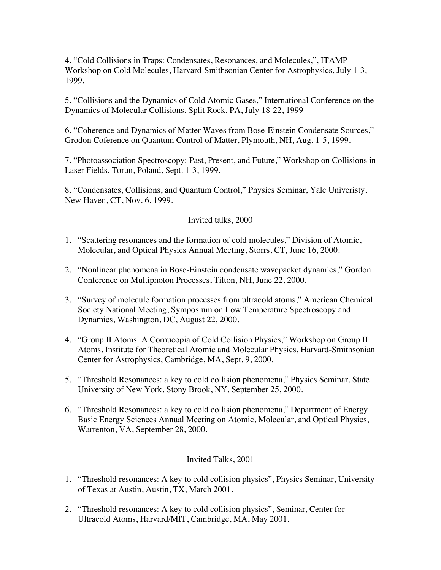4. "Cold Collisions in Traps: Condensates, Resonances, and Molecules,", ITAMP Workshop on Cold Molecules, Harvard-Smithsonian Center for Astrophysics, July 1-3, 1999.

5. "Collisions and the Dynamics of Cold Atomic Gases," International Conference on the Dynamics of Molecular Collisions, Split Rock, PA, July 18-22, 1999

6. "Coherence and Dynamics of Matter Waves from Bose-Einstein Condensate Sources," Grodon Coference on Quantum Control of Matter, Plymouth, NH, Aug. 1-5, 1999.

7. "Photoassociation Spectroscopy: Past, Present, and Future," Workshop on Collisions in Laser Fields, Torun, Poland, Sept. 1-3, 1999.

8. "Condensates, Collisions, and Quantum Control," Physics Seminar, Yale Univeristy, New Haven, CT, Nov. 6, 1999.

### Invited talks, 2000

- 1. "Scattering resonances and the formation of cold molecules," Division of Atomic, Molecular, and Optical Physics Annual Meeting, Storrs, CT, June 16, 2000.
- 2. "Nonlinear phenomena in Bose-Einstein condensate wavepacket dynamics," Gordon Conference on Multiphoton Processes, Tilton, NH, June 22, 2000.
- 3. "Survey of molecule formation processes from ultracold atoms," American Chemical Society National Meeting, Symposium on Low Temperature Spectroscopy and Dynamics, Washington, DC, August 22, 2000.
- 4. "Group II Atoms: A Cornucopia of Cold Collision Physics," Workshop on Group II Atoms, Institute for Theoretical Atomic and Molecular Physics, Harvard-Smithsonian Center for Astrophysics, Cambridge, MA, Sept. 9, 2000.
- 5. "Threshold Resonances: a key to cold collision phenomena," Physics Seminar, State University of New York, Stony Brook, NY, September 25, 2000.
- 6. "Threshold Resonances: a key to cold collision phenomena," Department of Energy Basic Energy Sciences Annual Meeting on Atomic, Molecular, and Optical Physics, Warrenton, VA, September 28, 2000.

#### Invited Talks, 2001

- 1. "Threshold resonances: A key to cold collision physics", Physics Seminar, University of Texas at Austin, Austin, TX, March 2001.
- 2. "Threshold resonances: A key to cold collision physics", Seminar, Center for Ultracold Atoms, Harvard/MIT, Cambridge, MA, May 2001.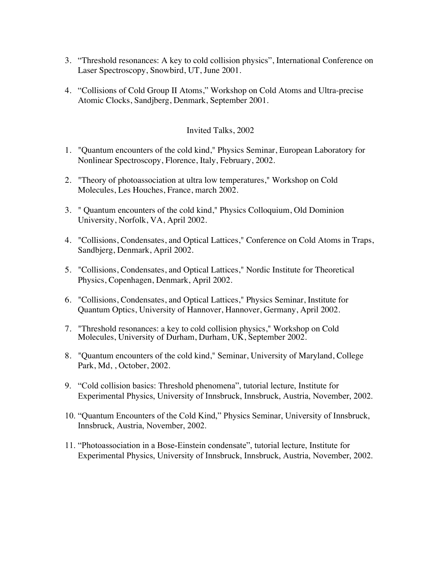- 3. "Threshold resonances: A key to cold collision physics", International Conference on Laser Spectroscopy, Snowbird, UT, June 2001.
- 4. "Collisions of Cold Group II Atoms," Workshop on Cold Atoms and Ultra-precise Atomic Clocks, Sandjberg, Denmark, September 2001.

#### Invited Talks, 2002

- 1. "Quantum encounters of the cold kind," Physics Seminar, European Laboratory for Nonlinear Spectroscopy, Florence, Italy, February, 2002.
- 2. "Theory of photoassociation at ultra low temperatures," Workshop on Cold Molecules, Les Houches, France, march 2002.
- 3. " Quantum encounters of the cold kind," Physics Colloquium, Old Dominion University, Norfolk, VA, April 2002.
- 4. "Collisions, Condensates, and Optical Lattices," Conference on Cold Atoms in Traps, Sandbjerg, Denmark, April 2002.
- 5. "Collisions, Condensates, and Optical Lattices," Nordic Institute for Theoretical Physics, Copenhagen, Denmark, April 2002.
- 6. "Collisions, Condensates, and Optical Lattices," Physics Seminar, Institute for Quantum Optics, University of Hannover, Hannover, Germany, April 2002.
- 7. "Threshold resonances: a key to cold collision physics," Workshop on Cold Molecules, University of Durham, Durham, UK, September 2002.
- 8. "Quantum encounters of the cold kind," Seminar, University of Maryland, College Park, Md, , October, 2002.
- 9. "Cold collision basics: Threshold phenomena", tutorial lecture, Institute for Experimental Physics, University of Innsbruck, Innsbruck, Austria, November, 2002.
- 10. "Quantum Encounters of the Cold Kind," Physics Seminar, University of Innsbruck, Innsbruck, Austria, November, 2002.
- 11. "Photoassociation in a Bose-Einstein condensate", tutorial lecture, Institute for Experimental Physics, University of Innsbruck, Innsbruck, Austria, November, 2002.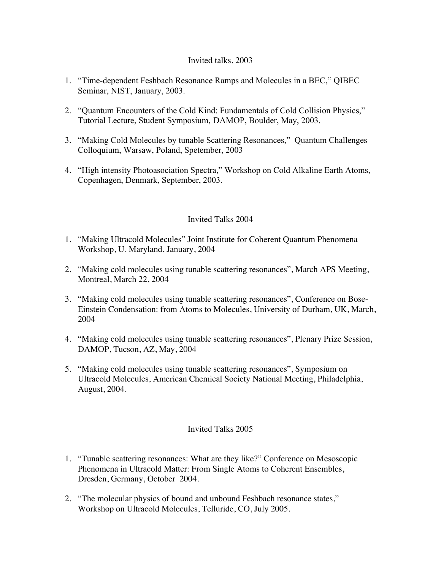### Invited talks, 2003

- 1. "Time-dependent Feshbach Resonance Ramps and Molecules in a BEC," QIBEC Seminar, NIST, January, 2003.
- 2. "Quantum Encounters of the Cold Kind: Fundamentals of Cold Collision Physics," Tutorial Lecture, Student Symposium, DAMOP, Boulder, May, 2003.
- 3. "Making Cold Molecules by tunable Scattering Resonances," Quantum Challenges Colloquium, Warsaw, Poland, Spetember, 2003
- 4. "High intensity Photoasociation Spectra," Workshop on Cold Alkaline Earth Atoms, Copenhagen, Denmark, September, 2003.

# Invited Talks 2004

- 1. "Making Ultracold Molecules" Joint Institute for Coherent Quantum Phenomena Workshop, U. Maryland, January, 2004
- 2. "Making cold molecules using tunable scattering resonances", March APS Meeting, Montreal, March 22, 2004
- 3. "Making cold molecules using tunable scattering resonances", Conference on Bose-Einstein Condensation: from Atoms to Molecules, University of Durham, UK, March, 2004
- 4. "Making cold molecules using tunable scattering resonances", Plenary Prize Session, DAMOP, Tucson, AZ, May, 2004
- 5. "Making cold molecules using tunable scattering resonances", Symposium on Ultracold Molecules, American Chemical Society National Meeting, Philadelphia, August, 2004.

# Invited Talks 2005

- 1. "Tunable scattering resonances: What are they like?" Conference on Mesoscopic Phenomena in Ultracold Matter: From Single Atoms to Coherent Ensembles, Dresden, Germany, October 2004.
- 2. "The molecular physics of bound and unbound Feshbach resonance states," Workshop on Ultracold Molecules, Telluride, CO, July 2005.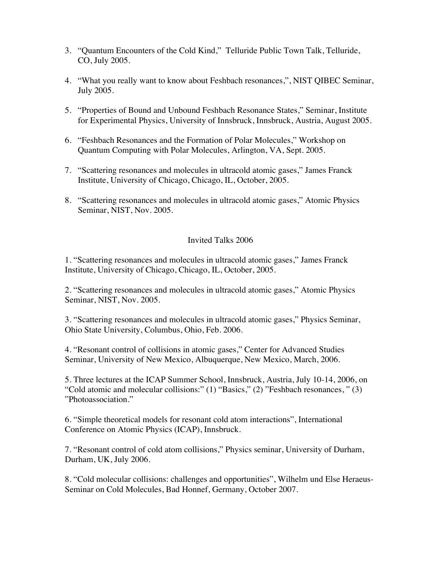- 3. "Quantum Encounters of the Cold Kind," Telluride Public Town Talk, Telluride, CO, July 2005.
- 4. "What you really want to know about Feshbach resonances,", NIST QIBEC Seminar, July 2005.
- 5. "Properties of Bound and Unbound Feshbach Resonance States," Seminar, Institute for Experimental Physics, University of Innsbruck, Innsbruck, Austria, August 2005.
- 6. "Feshbach Resonances and the Formation of Polar Molecules," Workshop on Quantum Computing with Polar Molecules, Arlington, VA, Sept. 2005.
- 7. "Scattering resonances and molecules in ultracold atomic gases," James Franck Institute, University of Chicago, Chicago, IL, October, 2005.
- 8. "Scattering resonances and molecules in ultracold atomic gases," Atomic Physics Seminar, NIST, Nov. 2005.

### Invited Talks 2006

1. "Scattering resonances and molecules in ultracold atomic gases," James Franck Institute, University of Chicago, Chicago, IL, October, 2005.

2. "Scattering resonances and molecules in ultracold atomic gases," Atomic Physics Seminar, NIST, Nov. 2005.

3. "Scattering resonances and molecules in ultracold atomic gases," Physics Seminar, Ohio State University, Columbus, Ohio, Feb. 2006.

4. "Resonant control of collisions in atomic gases," Center for Advanced Studies Seminar, University of New Mexico, Albuquerque, New Mexico, March, 2006.

5. Three lectures at the ICAP Summer School, Innsbruck, Austria, July 10-14, 2006, on "Cold atomic and molecular collisions:" (1) "Basics," (2) "Feshbach resonances, " (3) "Photoassociation."

6. "Simple theoretical models for resonant cold atom interactions", International Conference on Atomic Physics (ICAP), Innsbruck.

7. "Resonant control of cold atom collisions," Physics seminar, University of Durham, Durham, UK, July 2006.

8. "Cold molecular collisions: challenges and opportunities", Wilhelm und Else Heraeus-Seminar on Cold Molecules, Bad Honnef, Germany, October 2007.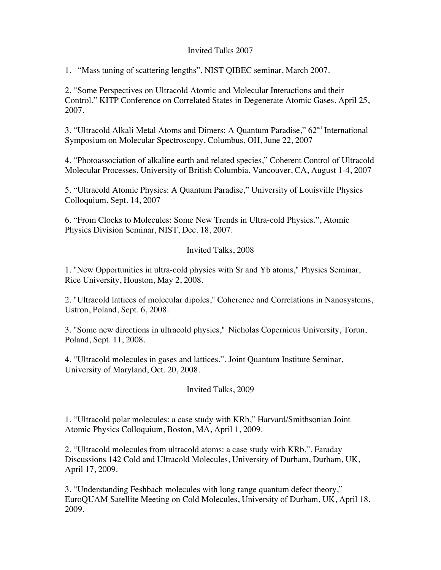### Invited Talks 2007

1. "Mass tuning of scattering lengths", NIST QIBEC seminar, March 2007.

2. "Some Perspectives on Ultracold Atomic and Molecular Interactions and their Control," KITP Conference on Correlated States in Degenerate Atomic Gases, April 25, 2007.

3. "Ultracold Alkali Metal Atoms and Dimers: A Quantum Paradise," 62<sup>nd</sup> International Symposium on Molecular Spectroscopy, Columbus, OH, June 22, 2007

4. "Photoassociation of alkaline earth and related species," Coherent Control of Ultracold Molecular Processes, University of British Columbia, Vancouver, CA, August 1-4, 2007

5. "Ultracold Atomic Physics: A Quantum Paradise," University of Louisville Physics Colloquium, Sept. 14, 2007

6. "From Clocks to Molecules: Some New Trends in Ultra-cold Physics.", Atomic Physics Division Seminar, NIST, Dec. 18, 2007.

# Invited Talks, 2008

1. "New Opportunities in ultra-cold physics with Sr and Yb atoms," Physics Seminar, Rice University, Houston, May 2, 2008.

2. "Ultracold lattices of molecular dipoles," Coherence and Correlations in Nanosystems, Ustron, Poland, Sept. 6, 2008.

3. "Some new directions in ultracold physics," Nicholas Copernicus University, Torun, Poland, Sept. 11, 2008.

4. "Ultracold molecules in gases and lattices,", Joint Quantum Institute Seminar, University of Maryland, Oct. 20, 2008.

# Invited Talks, 2009

1. "Ultracold polar molecules: a case study with KRb," Harvard/Smithsonian Joint Atomic Physics Colloquium, Boston, MA, April 1, 2009.

2. "Ultracold molecules from ultracold atoms: a case study with KRb,", Faraday Discussions 142 Cold and Ultracold Molecules, University of Durham, Durham, UK, April 17, 2009.

3. "Understanding Feshbach molecules with long range quantum defect theory," EuroQUAM Satellite Meeting on Cold Molecules, University of Durham, UK, April 18, 2009.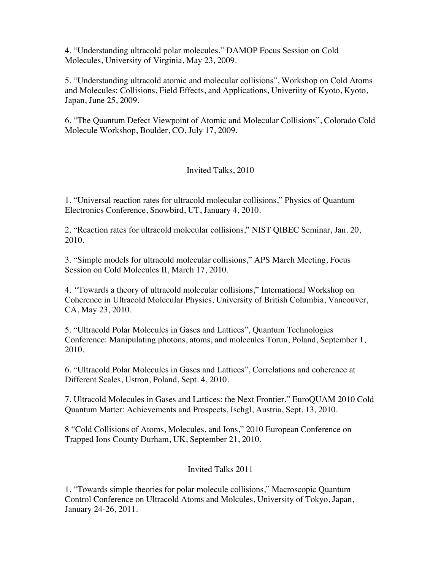4. "Understanding ultracold polar molecules," DAMOP Focus Session on Cold Molecules, University of Virginia, May 23, 2009.

5. "Understanding ultracold atomic and molecular collisions", Workshop on Cold Atoms and Molecules: Collisions, Field Effects, and Applications, Univeriity of Kyoto, Kyoto, Japan, June 25, 2009.

6. "The Quantum Defect Viewpoint of Atomic and Molecular Collisions", Colorado Cold Molecule Workshop, Boulder, CO, July 17, 2009.

# Invited Talks, 2010

1. "Universal reaction rates for ultracold molecular collisions," Physics of Quantum Electronics Conference, Snowbird, UT, January 4, 2010.

2. "Reaction rates for ultracold molecular collisions," NIST QIBEC Seminar, Jan. 20, 2010.

3. "Simple models for ultracold molecular collisions," APS March Meeting, Focus Session on Cold Molecules II, March 17, 2010.

4. *"*Towards a theory of ultracold molecular collisions," International Workshop on Coherence in Ultracold Molecular Physics, University of British Columbia, Vancouver, CA, May 23, 2010.

5. "Ultracold Polar Molecules in Gases and Lattices", Quantum Technologies Conference: Manipulating photons, atoms, and molecules Torun, Poland, September 1, 2010.

6. "Ultracold Polar Molecules in Gases and Lattices", Correlations and coherence at Different Scales, Ustron, Poland, Sept. 4, 2010.

7. Ultracold Molecules in Gases and Lattices: the Next Frontier," EuroQUAM 2010 Cold Quantum Matter: Achievements and Prospects, Ischgl, Austria, Sept. 13, 2010.

8 "Cold Collisions of Atoms, Molecules, and Ions," 2010 European Conference on Trapped Ions County Durham, UK, September 21, 2010.

# Invited Talks 2011

1. "Towards simple theories for polar molecule collisions," Macroscopic Quantum Control Conference on Ultracold Atoms and Molcules, University of Tokyo, Japan, January 24-26, 2011.